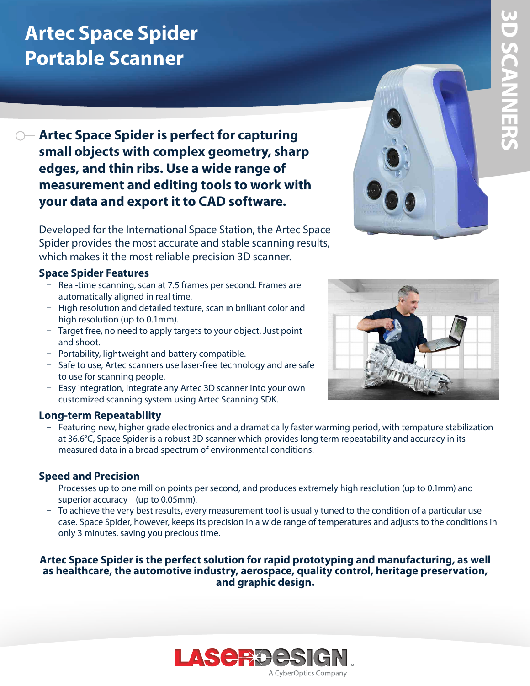# **Artec Space Spider Portable Scanner**

### **Artec Space Spider is perfect for capturing small objects with complex geometry, sharp edges, and thin ribs. Use a wide range of measurement and editing tools to work with your data and export it to CAD software.**

Developed for the International Space Station, the Artec Space Spider provides the most accurate and stable scanning results, which makes it the most reliable precision 3D scanner.

#### **Space Spider Features**

- Real-time scanning, scan at 7.5 frames per second. Frames are automatically aligned in real time.
- High resolution and detailed texture, scan in brilliant color and high resolution (up to 0.1mm).
- Target free, no need to apply targets to your object. Just point and shoot.
- Portability, lightweight and battery compatible.
- Safe to use, Artec scanners use laser-free technology and are safe to use for scanning people.
- Easy integration, integrate any Artec 3D scanner into your own customized scanning system using Artec Scanning SDK.

#### **Long-term Repeatability**

ū Featuring new, higher grade electronics and a dramatically faster warming period, with tempature stabilization at 36.6°C, Space Spider is a robust 3D scanner which provides long term repeatability and accuracy in its measured data in a broad spectrum of environmental conditions.

#### **Speed and Precision**

- Processes up to one million points per second, and produces extremely high resolution (up to 0.1mm) and superior accuracy (up to 0.05mm).
- ū To achieve the very best results, every measurement tool is usually tuned to the condition of a particular use case. Space Spider, however, keeps its precision in a wide range of temperatures and adjusts to the conditions in only 3 minutes, saving you precious time.

#### **Artec Space Spider is the perfect solution for rapid prototyping and manufacturing, as well as healthcare, the automotive industry, aerospace, quality control, heritage preservation, and graphic design.**